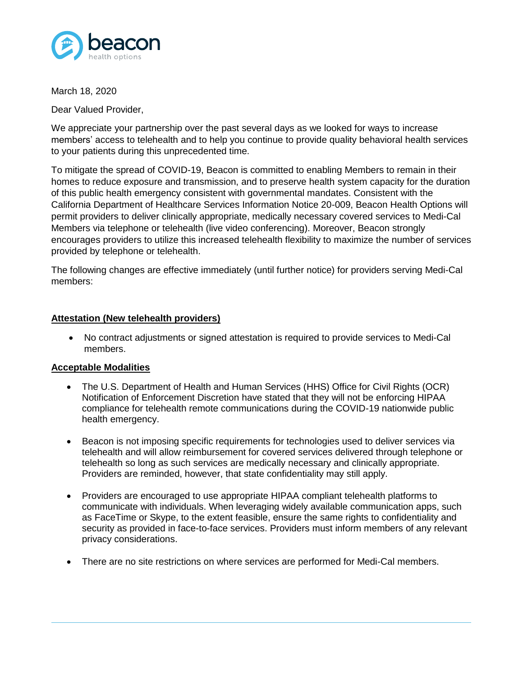

March 18, 2020

Dear Valued Provider,

We appreciate your partnership over the past several days as we looked for ways to increase members' access to telehealth and to help you continue to provide quality behavioral health services to your patients during this unprecedented time.

To mitigate the spread of COVID-19, Beacon is committed to enabling Members to remain in their homes to reduce exposure and transmission, and to preserve health system capacity for the duration of this public health emergency consistent with governmental mandates. Consistent with the California Department of Healthcare Services Information Notice 20-009, Beacon Health Options will permit providers to deliver clinically appropriate, medically necessary covered services to Medi-Cal Members via telephone or telehealth (live video conferencing). Moreover, Beacon strongly encourages providers to utilize this increased telehealth flexibility to maximize the number of services provided by telephone or telehealth.

The following changes are effective immediately (until further notice) for providers serving Medi-Cal members:

## **Attestation (New telehealth providers)**

 No contract adjustments or signed attestation is required to provide services to Medi-Cal members.

## **Acceptable Modalities**

- The U.S. Department of Health and Human Services (HHS) Office for Civil Rights (OCR) Notification of Enforcement Discretion have stated that they will not be enforcing HIPAA compliance for telehealth remote communications during the COVID-19 nationwide public health emergency.
- Beacon is not imposing specific requirements for technologies used to deliver services via telehealth and will allow reimbursement for covered services delivered through telephone or telehealth so long as such services are medically necessary and clinically appropriate. Providers are reminded, however, that state confidentiality may still apply.
- Providers are encouraged to use appropriate HIPAA compliant telehealth platforms to communicate with individuals. When leveraging widely available communication apps, such as FaceTime or Skype, to the extent feasible, ensure the same rights to confidentiality and security as provided in face-to-face services. Providers must inform members of any relevant privacy considerations.
- There are no site restrictions on where services are performed for Medi-Cal members.